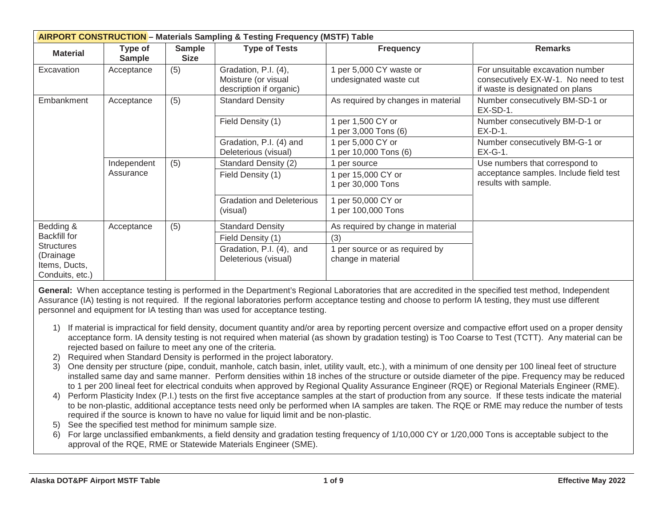| <b>AIRPORT CONSTRUCTION</b> - Materials Sampling & Testing Frequency (MSTF) Table |                          |                              |                                                                        |                                                      |                                                                                                              |  |  |
|-----------------------------------------------------------------------------------|--------------------------|------------------------------|------------------------------------------------------------------------|------------------------------------------------------|--------------------------------------------------------------------------------------------------------------|--|--|
| <b>Material</b>                                                                   | Type of<br><b>Sample</b> | <b>Sample</b><br><b>Size</b> | <b>Type of Tests</b>                                                   | <b>Frequency</b>                                     | <b>Remarks</b>                                                                                               |  |  |
| Excavation                                                                        | Acceptance               | (5)                          | Gradation, P.I. (4),<br>Moisture (or visual<br>description if organic) | 1 per 5,000 CY waste or<br>undesignated waste cut    | For unsuitable excavation number<br>consecutively EX-W-1. No need to test<br>if waste is designated on plans |  |  |
| Embankment                                                                        | Acceptance               | (5)                          | <b>Standard Density</b>                                                | As required by changes in material                   | Number consecutively BM-SD-1 or<br>EX-SD-1.                                                                  |  |  |
|                                                                                   |                          |                              | Field Density (1)                                                      | 1 per 1,500 CY or<br>1 per 3,000 Tons (6)            | Number consecutively BM-D-1 or<br>$EX-D-1$ .                                                                 |  |  |
|                                                                                   |                          |                              | Gradation, P.I. (4) and<br>Deleterious (visual)                        | 1 per 5,000 CY or<br>1 per 10,000 Tons (6)           | Number consecutively BM-G-1 or<br>$EX-G-1.$                                                                  |  |  |
|                                                                                   | Independent<br>Assurance | (5)                          | Standard Density (2)                                                   | 1 per source                                         | Use numbers that correspond to                                                                               |  |  |
|                                                                                   |                          |                              | Field Density (1)                                                      | 1 per 15,000 CY or<br>1 per 30,000 Tons              | acceptance samples. Include field test<br>results with sample.                                               |  |  |
|                                                                                   |                          |                              | <b>Gradation and Deleterious</b><br>(visual)                           | 1 per 50,000 CY or<br>1 per 100,000 Tons             |                                                                                                              |  |  |
| Bedding &                                                                         | Acceptance               | (5)                          | <b>Standard Density</b>                                                | As required by change in material                    |                                                                                                              |  |  |
| <b>Backfill for</b>                                                               |                          |                              | Field Density (1)                                                      | (3)                                                  |                                                                                                              |  |  |
| <b>Structures</b><br>(Drainage<br>Items, Ducts,<br>Conduits, etc.)                |                          |                              | Gradation, P.I. (4), and<br>Deleterious (visual)                       | 1 per source or as required by<br>change in material |                                                                                                              |  |  |

General: When acceptance testing is performed in the Department's Regional Laboratories that are accredited in the specified test method, Independent Assurance (IA) testing is not required. If the regional laboratories perform acceptance testing and choose to perform IA testing, they must use different personnel and equipment for IA testing than was used for acceptance testing.

- 1) If material is impractical for field density, document quantity and/or area by reporting percent oversize and compactive effort used on a proper density acceptance form. IA density testing is not required when material (as shown by gradation testing) is Too Coarse to Test (TCTT). Any material can be rejected based on failure to meet any one of the criteria.
- 2) Required when Standard Density is performed in the project laboratory.
- 3) One density per structure (pipe, conduit, manhole, catch basin, inlet, utility vault, etc.), with a minimum of one density per 100 lineal feet of structure installed same day and same manner. Perform densities within 18 inches of the structure or outside diameter of the pipe. Frequency may be reduced to 1 per 200 lineal feet for electrical conduits when approved by Regional Quality Assurance Engineer (RQE) or Regional Materials Engineer (RME).
- 4) Perform Plasticity Index (P.I.) tests on the first five acceptance samples at the start of production from any source. If these tests indicate the material to be non-plastic, additional acceptance tests need only be performed when IA samples are taken. The RQE or RME may reduce the number of tests required if the source is known to have no value for liquid limit and be non-plastic.
- 5) See the specified test method for minimum sample size.
- 6) For large unclassified embankments, a field density and gradation testing frequency of 1/10,000 CY or 1/20,000 Tons is acceptable subject to the approval of the RQE, RME or Statewide Materials Engineer (SME).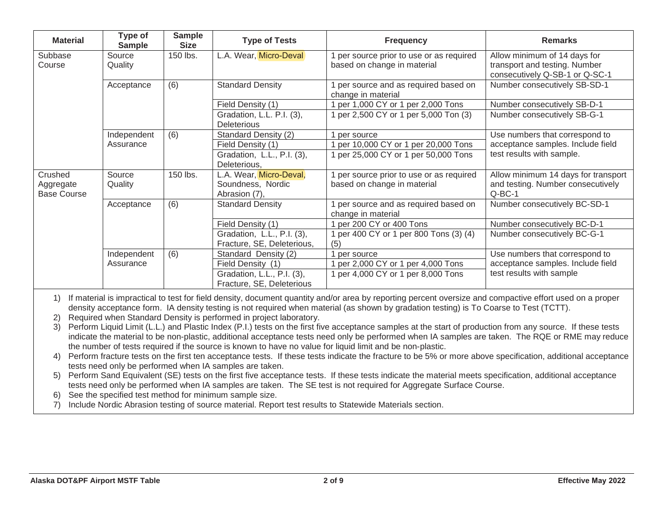| <b>Material</b>                            | Type of<br><b>Sample</b> | <b>Sample</b><br><b>Size</b> | <b>Type of Tests</b>                                          | <b>Frequency</b>                                                      | <b>Remarks</b>                                                                                  |
|--------------------------------------------|--------------------------|------------------------------|---------------------------------------------------------------|-----------------------------------------------------------------------|-------------------------------------------------------------------------------------------------|
| Subbase<br>Course                          | Source<br>Quality        | 150 lbs.                     | L.A. Wear, Micro-Deval                                        | per source prior to use or as required<br>based on change in material | Allow minimum of 14 days for<br>transport and testing. Number<br>consecutively Q-SB-1 or Q-SC-1 |
|                                            | Acceptance               | (6)                          | <b>Standard Density</b>                                       | per source and as required based on<br>change in material             | Number consecutively SB-SD-1                                                                    |
|                                            |                          |                              | Field Density (1)                                             | per 1,000 CY or 1 per 2,000 Tons                                      | Number consecutively SB-D-1                                                                     |
|                                            |                          |                              | Gradation, L.L. P.I. (3),<br><b>Deleterious</b>               | per 2,500 CY or 1 per 5,000 Ton (3)                                   | Number consecutively SB-G-1                                                                     |
|                                            | Independent              | (6)                          | Standard Density (2)                                          | per source                                                            | Use numbers that correspond to                                                                  |
|                                            | Assurance                |                              | Field Density (1)                                             | per 10,000 CY or 1 per 20,000 Tons                                    | acceptance samples. Include field                                                               |
|                                            |                          |                              | Gradation, L.L., P.I. (3),                                    | per 25,000 CY or 1 per 50,000 Tons                                    | test results with sample.                                                                       |
|                                            |                          |                              | Deleterious,                                                  |                                                                       |                                                                                                 |
| Crushed<br>Aggregate<br><b>Base Course</b> | Source<br>Quality        | 150 lbs.                     | L.A. Wear, Micro-Deval,<br>Soundness, Nordic<br>Abrasion (7), | per source prior to use or as required<br>based on change in material | Allow minimum 14 days for transport<br>and testing. Number consecutively<br>$Q-BC-1$            |
|                                            | Acceptance               | (6)                          | <b>Standard Density</b>                                       | per source and as required based on<br>change in material             | Number consecutively BC-SD-1                                                                    |
|                                            |                          |                              | Field Density (1)                                             | per 200 CY or 400 Tons                                                | Number consecutively BC-D-1                                                                     |
|                                            |                          |                              | Gradation, L.L., P.I. (3),<br>Fracture, SE, Deleterious,      | per 400 CY or 1 per 800 Tons (3) (4)<br>(5)                           | Number consecutively BC-G-1                                                                     |
|                                            | Independent              | (6)                          | Standard Density (2)                                          | per source                                                            | Use numbers that correspond to                                                                  |
|                                            | Assurance                |                              | Field Density (1)                                             | per 2,000 CY or 1 per 4,000 Tons                                      | acceptance samples. Include field                                                               |
|                                            |                          |                              | Gradation, L.L., P.I. (3),                                    | per 4,000 CY or 1 per 8,000 Tons                                      | test results with sample                                                                        |
|                                            |                          |                              | Fracture, SE, Deleterious                                     |                                                                       |                                                                                                 |

1) If material is impractical to test for field density, document quantity and/or area by reporting percent oversize and compactive effort used on a proper density acceptance form. IA density testing is not required when material (as shown by gradation testing) is To Coarse to Test (TCTT).

2) Required when Standard Density is performed in project laboratory.

3) Perform Liquid Limit (L.L.) and Plastic Index (P.I.) tests on the first five acceptance samples at the start of production from any source. If these tests indicate the material to be non-plastic, additional acceptance tests need only be performed when IA samples are taken. The RQE or RME may reduce the number of tests required if the source is known to have no value for liquid limit and be non-plastic.

4) Perform fracture tests on the first ten acceptance tests. If these tests indicate the fracture to be 5% or more above specification, additional acceptance tests need only be performed when IA samples are taken.

5) Perform Sand Equivalent (SE) tests on the first five acceptance tests. If these tests indicate the material meets specification, additional acceptance tests need only be performed when IA samples are taken. The SE test is not required for Aggregate Surface Course.

6) See the specified test method for minimum sample size.

7) Include Nordic Abrasion testing of source material. Report test results to Statewide Materials section.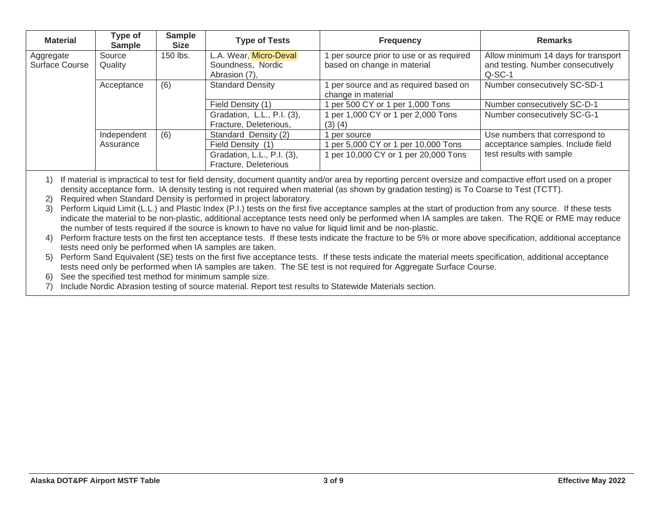| <b>Material</b>             | Type of<br><b>Sample</b> | <b>Sample</b><br><b>Size</b> | <b>Type of Tests</b>                                         | <b>Frequency</b>                                                        | <b>Remarks</b>                                                                       |
|-----------------------------|--------------------------|------------------------------|--------------------------------------------------------------|-------------------------------------------------------------------------|--------------------------------------------------------------------------------------|
| Aggregate<br>Surface Course | Source<br>Quality        | 150 lbs.                     | L.A. Wear, Micro-Deval<br>Soundness, Nordic<br>Abrasion (7), | 1 per source prior to use or as required<br>based on change in material | Allow minimum 14 days for transport<br>and testing. Number consecutively<br>$Q-SC-1$ |
|                             | Acceptance               | (6)                          | <b>Standard Density</b>                                      | per source and as required based on<br>change in material               | Number consecutively SC-SD-1                                                         |
|                             |                          |                              | Field Density (1)                                            | per 500 CY or 1 per 1,000 Tons                                          | Number consecutively SC-D-1                                                          |
|                             |                          |                              | Gradation, L.L., P.I. (3),<br>Fracture, Deleterious,         | 1 per 1,000 CY or 1 per 2,000 Tons<br>$(3)$ $(4)$                       | Number consecutively SC-G-1                                                          |
|                             | Independent              | (6)                          | Standard Density (2)                                         | per source                                                              | Use numbers that correspond to                                                       |
|                             | Assurance                |                              | Field Density (1)                                            | per 5,000 CY or 1 per 10,000 Tons                                       | acceptance samples. Include field                                                    |
|                             |                          |                              | Gradation, L.L., P.I. (3),<br>Fracture, Deleterious          | 1 per 10,000 CY or 1 per 20,000 Tons                                    | test results with sample                                                             |

1) If material is impractical to test for field density, document quantity and/or area by reporting percent oversize and compactive effort used on a proper density acceptance form. IA density testing is not required when material (as shown by gradation testing) is To Coarse to Test (TCTT).

2) Required when Standard Density is performed in project laboratory.

3) Perform Liquid Limit (L.L.) and Plastic Index (P.I.) tests on the first five acceptance samples at the start of production from any source. If these tests indicate the material to be non-plastic, additional acceptance tests need only be performed when IA samples are taken. The RQE or RME may reduce the number of tests required if the source is known to have no value for liquid limit and be non-plastic.

4) Perform fracture tests on the first ten acceptance tests. If these tests indicate the fracture to be 5% or more above specification, additional acceptance tests need only be performed when IA samples are taken.

5) Perform Sand Equivalent (SE) tests on the first five acceptance tests. If these tests indicate the material meets specification, additional acceptance tests need only be performed when IA samples are taken. The SE test is not required for Aggregate Surface Course.

6) See the specified test method for minimum sample size.

7) Include Nordic Abrasion testing of source material. Report test results to Statewide Materials section.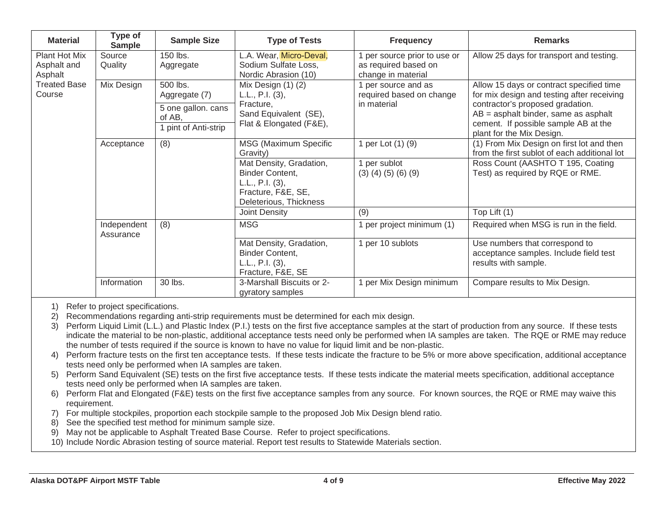| <b>Material</b>                         | Type of<br><b>Sample</b> | <b>Sample Size</b>                              | <b>Type of Tests</b>                                                                                                 | <b>Frequency</b>                                                         | <b>Remarks</b>                                                                                                             |
|-----------------------------------------|--------------------------|-------------------------------------------------|----------------------------------------------------------------------------------------------------------------------|--------------------------------------------------------------------------|----------------------------------------------------------------------------------------------------------------------------|
| Plant Hot Mix<br>Asphalt and<br>Asphalt | Source<br>Quality        | 150 lbs.<br>Aggregate                           | L.A. Wear, Micro-Deval,<br>Sodium Sulfate Loss,<br>Nordic Abrasion (10)                                              | per source prior to use or<br>as required based on<br>change in material | Allow 25 days for transport and testing.                                                                                   |
| <b>Treated Base</b><br>Course           | Mix Design               | 500 lbs.<br>Aggregate (7)<br>5 one gallon. cans | Mix Design (1) (2)<br>L.L., P.I. $(3)$ ,<br>Fracture,                                                                | 1 per source and as<br>required based on change<br>in material           | Allow 15 days or contract specified time<br>for mix design and testing after receiving<br>contractor's proposed gradation. |
|                                         |                          | of AB,<br>pint of Anti-strip                    | Sand Equivalent (SE),<br>Flat & Elongated (F&E),                                                                     |                                                                          | $AB =$ asphalt binder, same as asphalt<br>cement. If possible sample AB at the<br>plant for the Mix Design.                |
|                                         | Acceptance               | (8)                                             | MSG (Maximum Specific<br>Gravity)                                                                                    | 1 per Lot (1) (9)                                                        | (1) From Mix Design on first lot and then<br>from the first sublot of each additional lot                                  |
|                                         |                          |                                                 | Mat Density, Gradation,<br><b>Binder Content,</b><br>L.L., P.I. (3),<br>Fracture, F&E, SE,<br>Deleterious, Thickness | per sublot<br>$(3)$ $(4)$ $(5)$ $(6)$ $(9)$                              | Ross Count (AASHTO T 195, Coating<br>Test) as required by RQE or RME.                                                      |
|                                         |                          |                                                 | Joint Density                                                                                                        | (9)                                                                      | Top Lift (1)                                                                                                               |
|                                         | Independent<br>Assurance | (8)                                             | <b>MSG</b>                                                                                                           | per project minimum (1)                                                  | Required when MSG is run in the field.                                                                                     |
|                                         |                          |                                                 | Mat Density, Gradation,<br><b>Binder Content,</b><br>L.L., P.I. $(3)$ ,<br>Fracture, F&E, SE                         | 1 per 10 sublots                                                         | Use numbers that correspond to<br>acceptance samples. Include field test<br>results with sample.                           |
|                                         | Information              | 30 lbs.                                         | 3-Marshall Biscuits or 2-<br>gyratory samples                                                                        | 1 per Mix Design minimum                                                 | Compare results to Mix Design.                                                                                             |

2) Recommendations regarding anti-strip requirements must be determined for each mix design.

3) Perform Liquid Limit (L.L.) and Plastic Index (P.I.) tests on the first five acceptance samples at the start of production from any source. If these tests indicate the material to be non-plastic, additional acceptance tests need only be performed when IA samples are taken. The RQE or RME may reduce the number of tests required if the source is known to have no value for liquid limit and be non-plastic.

4) Perform fracture tests on the first ten acceptance tests. If these tests indicate the fracture to be 5% or more above specification, additional acceptance tests need only be performed when IA samples are taken.

5) Perform Sand Equivalent (SE) tests on the first five acceptance tests. If these tests indicate the material meets specification, additional acceptance tests need only be performed when IA samples are taken.

6) Perform Flat and Elongated (F&E) tests on the first five acceptance samples from any source. For known sources, the RQE or RME may waive this requirement.

7) For multiple stockpiles, proportion each stockpile sample to the proposed Job Mix Design blend ratio.

8) See the specified test method for minimum sample size.

9) May not be applicable to Asphalt Treated Base Course. Refer to project specifications.

10) Include Nordic Abrasion testing of source material. Report test results to Statewide Materials section.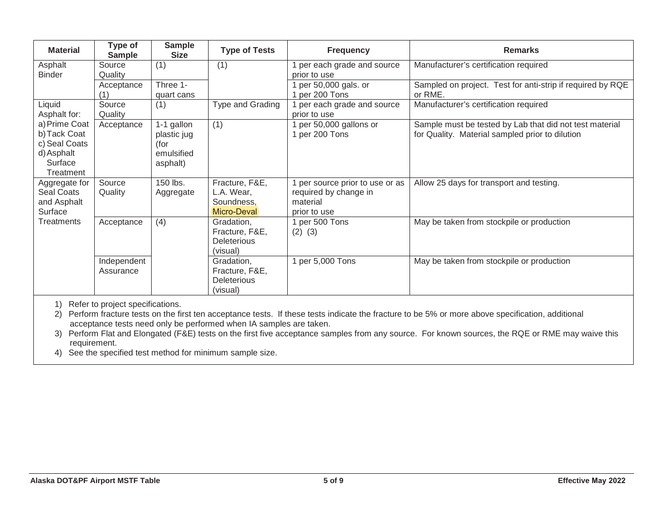| <b>Material</b>   | Type of<br><b>Sample</b> | <b>Sample</b><br><b>Size</b> | <b>Type of Tests</b> | <b>Frequency</b>              | <b>Remarks</b>                                             |
|-------------------|--------------------------|------------------------------|----------------------|-------------------------------|------------------------------------------------------------|
| Asphalt           | Source                   | (1)                          | (1)                  | per each grade and source     | Manufacturer's certification required                      |
| <b>Binder</b>     | Quality                  |                              |                      | prior to use                  |                                                            |
|                   | Acceptance               | Three 1-                     |                      | per 50,000 gals. or           | Sampled on project. Test for anti-strip if required by RQE |
|                   | (1)                      | quart cans                   |                      | per 200 Tons                  | or RME.                                                    |
| Liquid            | Source                   | (1)                          | Type and Grading     | per each grade and source     | Manufacturer's certification required                      |
| Asphalt for:      | Quality                  |                              |                      | prior to use                  |                                                            |
| a) Prime Coat     | Acceptance               | 1-1 gallon                   | (1)                  | per 50,000 gallons or         | Sample must be tested by Lab that did not test material    |
| b) Tack Coat      |                          | plastic jug                  |                      | per 200 Tons                  | for Quality. Material sampled prior to dilution            |
| c) Seal Coats     |                          | (for                         |                      |                               |                                                            |
| d) Asphalt        |                          | emulsified                   |                      |                               |                                                            |
| Surface           |                          | asphalt)                     |                      |                               |                                                            |
| Treatment         |                          |                              |                      |                               |                                                            |
| Aggregate for     | Source                   | 150 lbs.                     | Fracture, F&E,       | per source prior to use or as | Allow 25 days for transport and testing.                   |
| Seal Coats        | Quality                  | Aggregate                    | L.A. Wear,           | required by change in         |                                                            |
| and Asphalt       |                          |                              | Soundness,           | material                      |                                                            |
| Surface           |                          |                              | Micro-Deval          | prior to use                  |                                                            |
| <b>Treatments</b> | Acceptance               | (4)                          | Gradation,           | 1 per 500 Tons                | May be taken from stockpile or production                  |
|                   |                          |                              | Fracture, F&E,       | $(2)$ $(3)$                   |                                                            |
|                   |                          |                              | <b>Deleterious</b>   |                               |                                                            |
|                   |                          |                              | (visual)             |                               |                                                            |
|                   | Independent              |                              | Gradation,           | per 5,000 Tons                | May be taken from stockpile or production                  |
|                   | Assurance                |                              | Fracture, F&E,       |                               |                                                            |
|                   |                          |                              | <b>Deleterious</b>   |                               |                                                            |
|                   |                          |                              | (visual)             |                               |                                                            |

2) Perform fracture tests on the first ten acceptance tests. If these tests indicate the fracture to be 5% or more above specification, additional acceptance tests need only be performed when IA samples are taken.

3) Perform Flat and Elongated (F&E) tests on the first five acceptance samples from any source. For known sources, the RQE or RME may waive this requirement.

4) See the specified test method for minimum sample size.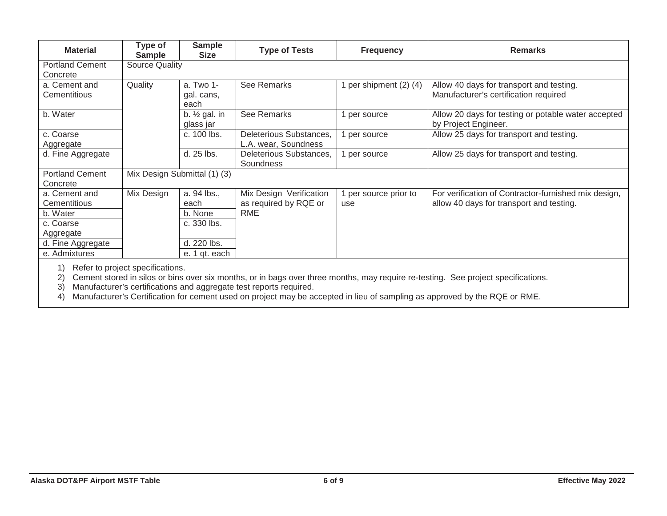| <b>Material</b>                    | Type of<br><b>Sample</b>         | <b>Sample</b><br><b>Size</b>          | <b>Type of Tests</b>                             | <b>Frequency</b>           | <b>Remarks</b>                                                                                   |  |  |  |  |  |
|------------------------------------|----------------------------------|---------------------------------------|--------------------------------------------------|----------------------------|--------------------------------------------------------------------------------------------------|--|--|--|--|--|
| <b>Portland Cement</b><br>Concrete |                                  | Source Quality                        |                                                  |                            |                                                                                                  |  |  |  |  |  |
| a. Cement and<br>Cementitious      | Quality                          | a. Two 1-<br>gal. cans,<br>each       | See Remarks                                      | per shipment (2) (4)       | Allow 40 days for transport and testing.<br>Manufacturer's certification required                |  |  |  |  |  |
| b. Water                           |                                  | b. $\frac{1}{2}$ gal. in<br>glass jar | See Remarks                                      | per source                 | Allow 20 days for testing or potable water accepted<br>by Project Engineer.                      |  |  |  |  |  |
| c. Coarse<br>Aggregate             |                                  | c. 100 lbs.                           | Deleterious Substances,<br>L.A. wear, Soundness  | per source                 | Allow 25 days for transport and testing.                                                         |  |  |  |  |  |
| d. Fine Aggregate                  |                                  | d. 25 lbs.                            | Deleterious Substances,<br>Soundness             | per source                 | Allow 25 days for transport and testing.                                                         |  |  |  |  |  |
| <b>Portland Cement</b><br>Concrete |                                  | Mix Design Submittal (1) (3)          |                                                  |                            |                                                                                                  |  |  |  |  |  |
| a. Cement and<br>Cementitious      | Mix Design                       | a. 94 lbs.,<br>each                   | Mix Design Verification<br>as required by RQE or | per source prior to<br>use | For verification of Contractor-furnished mix design,<br>allow 40 days for transport and testing. |  |  |  |  |  |
| b. Water                           |                                  | b. None                               | RME                                              |                            |                                                                                                  |  |  |  |  |  |
| c. Coarse                          |                                  | c. 330 lbs.                           |                                                  |                            |                                                                                                  |  |  |  |  |  |
| Aggregate                          |                                  |                                       |                                                  |                            |                                                                                                  |  |  |  |  |  |
| d. Fine Aggregate                  |                                  | d. 220 lbs.                           |                                                  |                            |                                                                                                  |  |  |  |  |  |
| e. Admixtures                      |                                  | e. 1 qt. each                         |                                                  |                            |                                                                                                  |  |  |  |  |  |
| 1)                                 | Refer to project specifications. |                                       |                                                  |                            |                                                                                                  |  |  |  |  |  |

2) Cement stored in silos or bins over six months, or in bags over three months, may require re-testing. See project specifications.

3) Manufacturer's certifications and aggregate test reports required.

4) Manufacturer's Certification for cement used on project may be accepted in lieu of sampling as approved by the RQE or RME.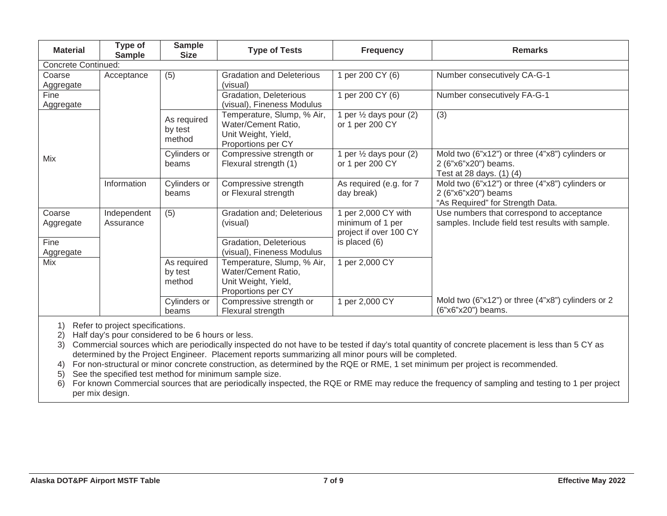| <b>Material</b>            | <b>Type of</b><br><b>Sample</b> | <b>Sample</b><br><b>Size</b>     | <b>Type of Tests</b>                                                                           | <b>Frequency</b>                                                  | <b>Remarks</b>                                                                                             |
|----------------------------|---------------------------------|----------------------------------|------------------------------------------------------------------------------------------------|-------------------------------------------------------------------|------------------------------------------------------------------------------------------------------------|
| <b>Concrete Continued:</b> |                                 |                                  |                                                                                                |                                                                   |                                                                                                            |
| Coarse<br>Aggregate        | Acceptance                      | (5)                              | <b>Gradation and Deleterious</b><br>(visual)                                                   | 1 per 200 CY (6)                                                  | Number consecutively CA-G-1                                                                                |
| Fine<br>Aggregate          |                                 |                                  | Gradation, Deleterious<br>(visual), Fineness Modulus                                           | 1 per 200 CY (6)                                                  | Number consecutively FA-G-1                                                                                |
|                            |                                 | As required<br>by test<br>method | Temperature, Slump, % Air,<br>Water/Cement Ratio,<br>Unit Weight, Yield,<br>Proportions per CY | 1 per $\frac{1}{2}$ days pour (2)<br>or 1 per 200 CY              | (3)                                                                                                        |
| Mix                        |                                 | Cylinders or<br>beams            | Compressive strength or<br>Flexural strength (1)                                               | 1 per $\frac{1}{2}$ days pour (2)<br>or 1 per 200 CY              | Mold two (6"x12") or three (4"x8") cylinders or<br>2 (6"x6"x20") beams.<br>Test at 28 days. (1) (4)        |
|                            | Information                     | Cylinders or<br>beams            | Compressive strength<br>or Flexural strength                                                   | As required (e.g. for 7<br>day break)                             | Mold two (6"x12") or three (4"x8") cylinders or<br>2 (6"x6"x20") beams<br>"As Required" for Strength Data. |
| Coarse<br>Aggregate        | Independent<br>Assurance        | (5)                              | Gradation and; Deleterious<br>(visual)                                                         | 1 per 2,000 CY with<br>minimum of 1 per<br>project if over 100 CY | Use numbers that correspond to acceptance<br>samples. Include field test results with sample.              |
| Fine<br>Aggregate          |                                 |                                  | Gradation, Deleterious<br>(visual), Fineness Modulus                                           | is placed (6)                                                     |                                                                                                            |
| Mix                        |                                 | As required<br>by test<br>method | Temperature, Slump, % Air,<br>Water/Cement Ratio,<br>Unit Weight, Yield,<br>Proportions per CY | 1 per 2,000 CY                                                    |                                                                                                            |
|                            |                                 | Cylinders or<br>beams            | Compressive strength or<br>Flexural strength                                                   | 1 per 2,000 CY                                                    | Mold two (6"x12") or three (4"x8") cylinders or 2<br>(6"x6"x20") beams.                                    |

2) Half day's pour considered to be 6 hours or less.

3) Commercial sources which are periodically inspected do not have to be tested if day's total quantity of concrete placement is less than 5 CY as determined by the Project Engineer. Placement reports summarizing all minor pours will be completed.

4) For non-structural or minor concrete construction, as determined by the RQE or RME, 1 set minimum per project is recommended.

5) See the specified test method for minimum sample size.

6) For known Commercial sources that are periodically inspected, the RQE or RME may reduce the frequency of sampling and testing to 1 per project per mix design.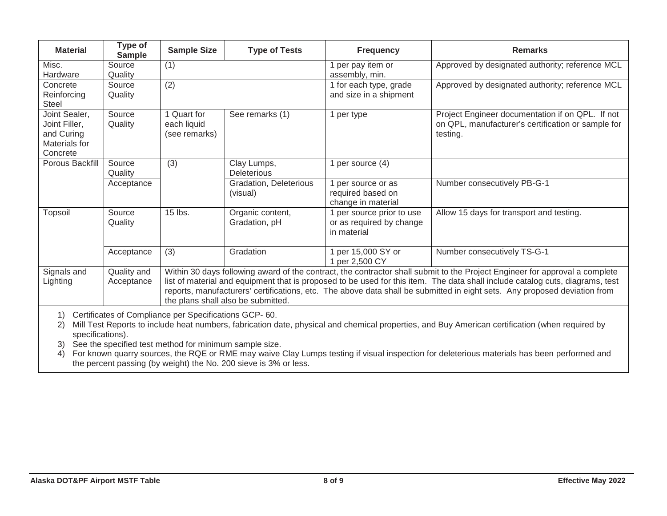| <b>Material</b>                                                                                                                                                                                                                                                                                          | Type of<br><b>Sample</b>  | <b>Sample Size</b>                                                                                                                                                                                                                                                                                                                                                                                                              | <b>Type of Tests</b>               | <b>Frequency</b>                                                     | <b>Remarks</b>                                                                                                     |  |  |
|----------------------------------------------------------------------------------------------------------------------------------------------------------------------------------------------------------------------------------------------------------------------------------------------------------|---------------------------|---------------------------------------------------------------------------------------------------------------------------------------------------------------------------------------------------------------------------------------------------------------------------------------------------------------------------------------------------------------------------------------------------------------------------------|------------------------------------|----------------------------------------------------------------------|--------------------------------------------------------------------------------------------------------------------|--|--|
| Misc.<br>Hardware                                                                                                                                                                                                                                                                                        | Source<br>Quality         | (1)                                                                                                                                                                                                                                                                                                                                                                                                                             |                                    | per pay item or<br>assembly, min.                                    | Approved by designated authority; reference MCL                                                                    |  |  |
| Concrete<br>Reinforcing<br><b>Steel</b>                                                                                                                                                                                                                                                                  | Source<br>Quality         | (2)                                                                                                                                                                                                                                                                                                                                                                                                                             |                                    | 1 for each type, grade<br>and size in a shipment                     | Approved by designated authority; reference MCL                                                                    |  |  |
| Joint Sealer,<br>Joint Filler,<br>and Curing<br>Materials for<br>Concrete                                                                                                                                                                                                                                | Source<br>Quality         | 1 Quart for<br>each liquid<br>(see remarks)                                                                                                                                                                                                                                                                                                                                                                                     | See remarks (1)                    | per type                                                             | Project Engineer documentation if on QPL. If not<br>on QPL, manufacturer's certification or sample for<br>testing. |  |  |
| Porous Backfill                                                                                                                                                                                                                                                                                          | Source<br>Quality         | (3)                                                                                                                                                                                                                                                                                                                                                                                                                             | Clay Lumps,<br><b>Deleterious</b>  | per source (4)                                                       |                                                                                                                    |  |  |
|                                                                                                                                                                                                                                                                                                          | Acceptance                |                                                                                                                                                                                                                                                                                                                                                                                                                                 | Gradation, Deleterious<br>(visual) | per source or as<br>required based on<br>change in material          | Number consecutively PB-G-1                                                                                        |  |  |
| Topsoil                                                                                                                                                                                                                                                                                                  | Source<br>Quality         | 15 lbs.                                                                                                                                                                                                                                                                                                                                                                                                                         | Organic content,<br>Gradation, pH  | 1 per source prior to use<br>or as required by change<br>in material | Allow 15 days for transport and testing.                                                                           |  |  |
|                                                                                                                                                                                                                                                                                                          | Acceptance                | (3)                                                                                                                                                                                                                                                                                                                                                                                                                             | Gradation                          | per 15,000 SY or<br>per 2,500 CY                                     | Number consecutively TS-G-1                                                                                        |  |  |
| Signals and<br>Lighting                                                                                                                                                                                                                                                                                  | Quality and<br>Acceptance | Within 30 days following award of the contract, the contractor shall submit to the Project Engineer for approval a complete<br>list of material and equipment that is proposed to be used for this item. The data shall include catalog cuts, diagrams, test<br>reports, manufacturers' certifications, etc. The above data shall be submitted in eight sets. Any proposed deviation from<br>the plans shall also be submitted. |                                    |                                                                      |                                                                                                                    |  |  |
| Certificates of Compliance per Specifications GCP-60.<br>1)<br>Mill Test Reports to include heat numbers, fabrication date, physical and chemical properties, and Buy American certification (when required by<br>2)<br>specifications).<br>See the specified test method for minimum sample size.<br>3) |                           |                                                                                                                                                                                                                                                                                                                                                                                                                                 |                                    |                                                                      |                                                                                                                    |  |  |

4) For known quarry sources, the RQE or RME may waive Clay Lumps testing if visual inspection for deleterious materials has been performed and the percent passing (by weight) the No. 200 sieve is 3% or less.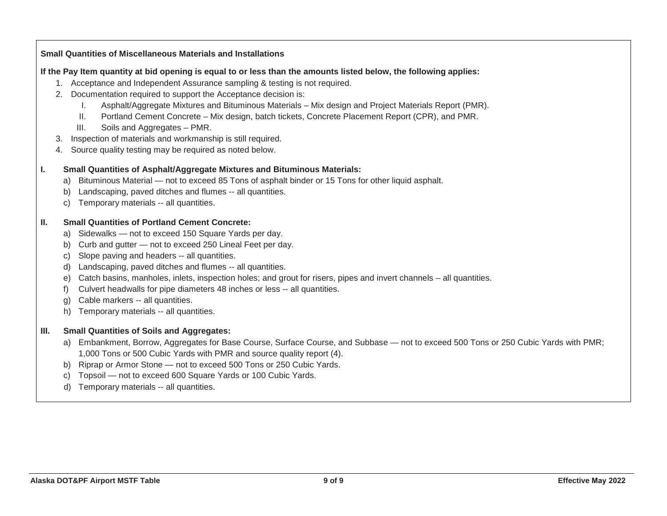|                                                    | <b>Small Quantities of Miscellaneous Materials and Installations</b>                                                                                                                                                                                                                                                                                                                                                                                                                                                                                                                                                                                          |
|----------------------------------------------------|---------------------------------------------------------------------------------------------------------------------------------------------------------------------------------------------------------------------------------------------------------------------------------------------------------------------------------------------------------------------------------------------------------------------------------------------------------------------------------------------------------------------------------------------------------------------------------------------------------------------------------------------------------------|
| 3.                                                 | If the Pay Item quantity at bid opening is equal to or less than the amounts listed below, the following applies:<br>1. Acceptance and Independent Assurance sampling & testing is not required.<br>2. Documentation required to support the Acceptance decision is:<br>Asphalt/Aggregate Mixtures and Bituminous Materials - Mix design and Project Materials Report (PMR).<br>Ι.<br>Portland Cement Concrete - Mix design, batch tickets, Concrete Placement Report (CPR), and PMR.<br>Ш.<br>III.<br>Soils and Aggregates - PMR.<br>Inspection of materials and workmanship is still required.<br>4. Source quality testing may be required as noted below. |
| ı.<br>a)<br>b)<br>C)                               | <b>Small Quantities of Asphalt/Aggregate Mixtures and Bituminous Materials:</b><br>Bituminous Material - not to exceed 85 Tons of asphalt binder or 15 Tons for other liquid asphalt.<br>Landscaping, paved ditches and flumes -- all quantities.<br>Temporary materials -- all quantities.                                                                                                                                                                                                                                                                                                                                                                   |
| Ш.<br>a)<br>b)<br>C)<br>d)<br>e)<br>f)<br>g)<br>h) | <b>Small Quantities of Portland Cement Concrete:</b><br>Sidewalks - not to exceed 150 Square Yards per day.<br>Curb and gutter - not to exceed 250 Lineal Feet per day.<br>Slope paving and headers -- all quantities.<br>Landscaping, paved ditches and flumes -- all quantities.<br>Catch basins, manholes, inlets, inspection holes; and grout for risers, pipes and invert channels – all quantities.<br>Culvert headwalls for pipe diameters 48 inches or less -- all quantities.<br>Cable markers -- all quantities.<br>Temporary materials -- all quantities.                                                                                          |
| III.<br>b)<br>C)<br>d)                             | <b>Small Quantities of Soils and Aggregates:</b><br>a) Embankment, Borrow, Aggregates for Base Course, Surface Course, and Subbase — not to exceed 500 Tons or 250 Cubic Yards with PMR;<br>1,000 Tons or 500 Cubic Yards with PMR and source quality report (4).<br>Riprap or Armor Stone - not to exceed 500 Tons or 250 Cubic Yards.<br>Topsoil - not to exceed 600 Square Yards or 100 Cubic Yards.<br>Temporary materials -- all quantities.                                                                                                                                                                                                             |
|                                                    |                                                                                                                                                                                                                                                                                                                                                                                                                                                                                                                                                                                                                                                               |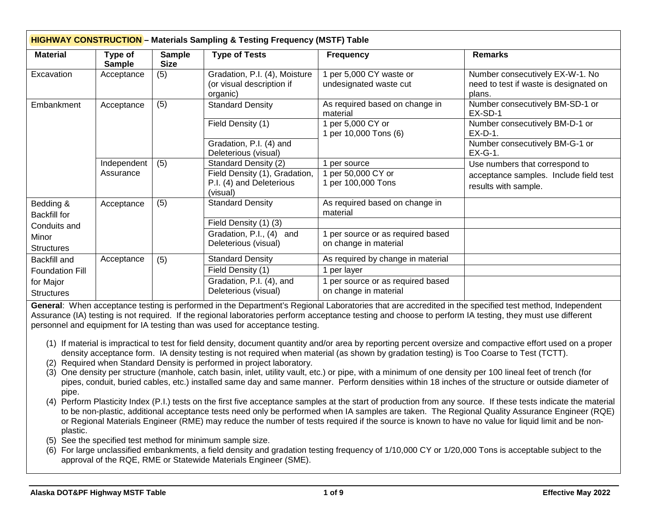| <b>HIGHWAY CONSTRUCTION</b> - Materials Sampling & Testing Frequency (MSTF) Table |                          |                              |                                                                                               |                                                            |                                                                                                  |  |  |
|-----------------------------------------------------------------------------------|--------------------------|------------------------------|-----------------------------------------------------------------------------------------------|------------------------------------------------------------|--------------------------------------------------------------------------------------------------|--|--|
| <b>Material</b>                                                                   | Type of<br><b>Sample</b> | <b>Sample</b><br><b>Size</b> | <b>Type of Tests</b>                                                                          | <b>Frequency</b>                                           | <b>Remarks</b>                                                                                   |  |  |
| Excavation                                                                        | Acceptance               | (5)                          | Gradation, P.I. (4), Moisture<br>(or visual description if<br>organic)                        | 1 per 5,000 CY waste or<br>undesignated waste cut          | Number consecutively EX-W-1. No<br>need to test if waste is designated on<br>plans.              |  |  |
| Embankment                                                                        | Acceptance               | (5)                          | <b>Standard Density</b>                                                                       | As required based on change in<br>material                 | Number consecutively BM-SD-1 or<br>EX-SD-1                                                       |  |  |
|                                                                                   |                          |                              | Field Density (1)                                                                             | 1 per 5,000 CY or<br>1 per 10,000 Tons (6)                 | Number consecutively BM-D-1 or<br>$EX-D-1$ .                                                     |  |  |
|                                                                                   |                          |                              | Gradation, P.I. (4) and<br>Deleterious (visual)                                               |                                                            | Number consecutively BM-G-1 or<br>$EX-G-1$ .                                                     |  |  |
|                                                                                   | Independent<br>Assurance | (5)                          | Standard Density (2)<br>Field Density (1), Gradation,<br>P.I. (4) and Deleterious<br>(visual) | 1 per source<br>1 per 50,000 CY or<br>1 per 100,000 Tons   | Use numbers that correspond to<br>acceptance samples. Include field test<br>results with sample. |  |  |
| Bedding &<br><b>Backfill for</b>                                                  | Acceptance               | (5)                          | <b>Standard Density</b>                                                                       | As required based on change in<br>material                 |                                                                                                  |  |  |
| Conduits and                                                                      |                          |                              | Field Density (1) (3)                                                                         |                                                            |                                                                                                  |  |  |
| Minor<br><b>Structures</b>                                                        |                          |                              | Gradation, P.I., (4)<br>and<br>Deleterious (visual)                                           | 1 per source or as required based<br>on change in material |                                                                                                  |  |  |
| <b>Backfill and</b>                                                               | Acceptance               | (5)                          | <b>Standard Density</b>                                                                       | As required by change in material                          |                                                                                                  |  |  |
| <b>Foundation Fill</b>                                                            |                          |                              | Field Density (1)                                                                             | 1 per layer                                                |                                                                                                  |  |  |
| for Major<br><b>Structures</b>                                                    |                          |                              | Gradation, P.I. (4), and<br>Deleterious (visual)                                              | 1 per source or as required based<br>on change in material |                                                                                                  |  |  |

**General**: When acceptance testing is performed in the Department's Regional Laboratories that are accredited in the specified test method, Independent Assurance (IA) testing is not required. If the regional laboratories perform acceptance testing and choose to perform IA testing, they must use different personnel and equipment for IA testing than was used for acceptance testing.

- (1) If material is impractical to test for field density, document quantity and/or area by reporting percent oversize and compactive effort used on a proper density acceptance form. IA density testing is not required when material (as shown by gradation testing) is Too Coarse to Test (TCTT).
- (2) Required when Standard Density is performed in project laboratory.
- (3) One density per structure (manhole, catch basin, inlet, utility vault, etc.) or pipe, with a minimum of one density per 100 lineal feet of trench (for pipes, conduit, buried cables, etc.) installed same day and same manner. Perform densities within 18 inches of the structure or outside diameter of pipe.
- (4) Perform Plasticity Index (P.I.) tests on the first five acceptance samples at the start of production from any source. If these tests indicate the material to be non-plastic, additional acceptance tests need only be performed when IA samples are taken. The Regional Quality Assurance Engineer (RQE) or Regional Materials Engineer (RME) may reduce the number of tests required if the source is known to have no value for liquid limit and be nonplastic.
- (5) See the specified test method for minimum sample size.
- (6) For large unclassified embankments, a field density and gradation testing frequency of 1/10,000 CY or 1/20,000 Tons is acceptable subject to the approval of the RQE, RME or Statewide Materials Engineer (SME).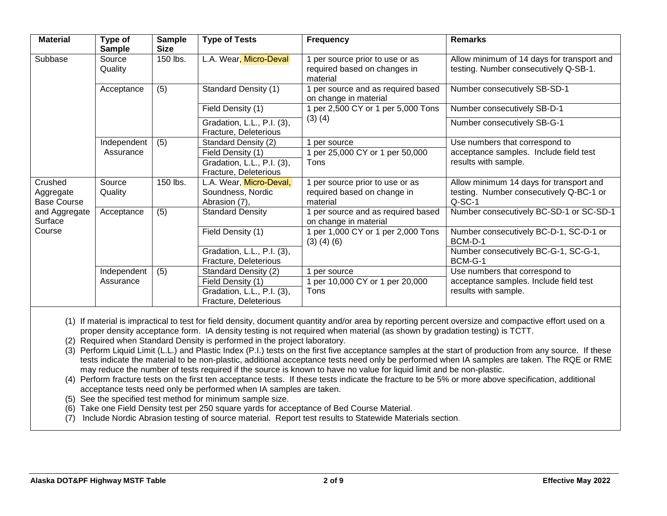| <b>Material</b>                            | Type of<br><b>Sample</b> | <b>Sample</b><br><b>Size</b> | <b>Type of Tests</b>                                          | <b>Frequency</b>                                                          | <b>Remarks</b>                                                                                 |
|--------------------------------------------|--------------------------|------------------------------|---------------------------------------------------------------|---------------------------------------------------------------------------|------------------------------------------------------------------------------------------------|
| Subbase                                    | Source<br>Quality        | 150 lbs.                     | L.A. Wear, Micro-Deval                                        | per source prior to use or as<br>required based on changes in<br>material | Allow minimum of 14 days for transport and<br>testing. Number consecutively Q-SB-1.            |
|                                            | Acceptance               | (5)                          | Standard Density (1)                                          | per source and as required based<br>on change in material                 | Number consecutively SB-SD-1                                                                   |
|                                            |                          |                              | Field Density (1)                                             | per 2,500 CY or 1 per 5,000 Tons                                          | Number consecutively SB-D-1                                                                    |
|                                            |                          |                              | Gradation, L.L., P.I. (3),<br>Fracture, Deleterious           | $(3)$ $(4)$                                                               | Number consecutively SB-G-1                                                                    |
|                                            | Independent              | (5)                          | Standard Density (2)                                          | per source                                                                | Use numbers that correspond to                                                                 |
|                                            | Assurance                |                              | Field Density (1)                                             | per 25,000 CY or 1 per 50,000                                             | acceptance samples. Include field test                                                         |
|                                            |                          |                              | Gradation, L.L., P.I. (3),<br>Fracture, Deleterious           | Tons                                                                      | results with sample.                                                                           |
| Crushed<br>Aggregate<br><b>Base Course</b> | Source<br>Quality        | 150 lbs.                     | L.A. Wear, Micro-Deval,<br>Soundness, Nordic<br>Abrasion (7), | per source prior to use or as<br>required based on change in<br>material  | Allow minimum 14 days for transport and<br>testing. Number consecutively Q-BC-1 or<br>$Q-SC-1$ |
| and Aggregate<br>Surface                   | Acceptance               | (5)                          | <b>Standard Density</b>                                       | per source and as required based<br>on change in material                 | Number consecutively BC-SD-1 or SC-SD-1                                                        |
| Course                                     |                          |                              | Field Density (1)                                             | per 1,000 CY or 1 per 2,000 Tons<br>$(3)$ $(4)$ $(6)$                     | Number consecutively BC-D-1, SC-D-1 or<br>BCM-D-1                                              |
|                                            |                          |                              | Gradation, L.L., P.I. (3),                                    |                                                                           | Number consecutively BC-G-1, SC-G-1,                                                           |
|                                            |                          |                              | Fracture, Deleterious                                         |                                                                           | BCM-G-1                                                                                        |
|                                            | Independent              | (5)                          | Standard Density (2)                                          | per source                                                                | Use numbers that correspond to                                                                 |
|                                            | Assurance                |                              | Field Density (1)                                             | per 10,000 CY or 1 per 20,000                                             | acceptance samples. Include field test                                                         |
|                                            |                          |                              | Gradation, L.L., P.I. (3),                                    | Tons                                                                      | results with sample.                                                                           |
|                                            |                          |                              | Fracture, Deleterious                                         |                                                                           |                                                                                                |

(1) If material is impractical to test for field density, document quantity and/or area by reporting percent oversize and compactive effort used on a proper density acceptance form. IA density testing is not required when material (as shown by gradation testing) is TCTT.

- (2) Required when Standard Density is performed in the project laboratory.
- (3) Perform Liquid Limit (L.L.) and Plastic Index (P.I.) tests on the first five acceptance samples at the start of production from any source. If these tests indicate the material to be non-plastic, additional acceptance tests need only be performed when IA samples are taken. The RQE or RME may reduce the number of tests required if the source is known to have no value for liquid limit and be non-plastic.
- (4) Perform fracture tests on the first ten acceptance tests. If these tests indicate the fracture to be 5% or more above specification, additional acceptance tests need only be performed when IA samples are taken.
- (5) See the specified test method for minimum sample size.
- (6) Take one Field Density test per 250 square yards for acceptance of Bed Course Material.
- (7) Include Nordic Abrasion testing of source material. Report test results to Statewide Materials section.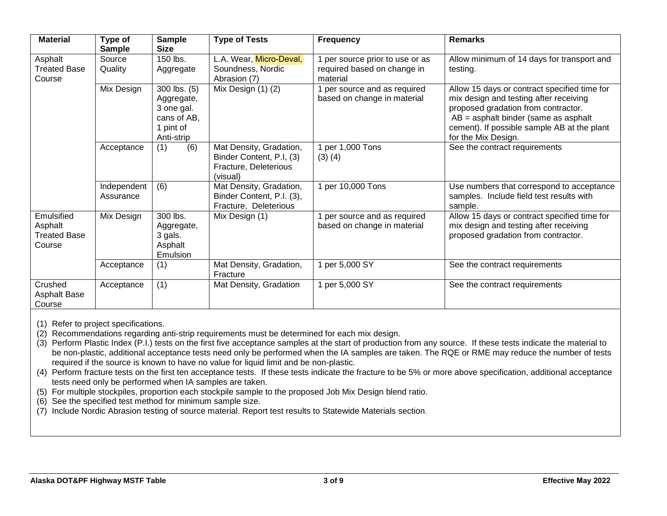| <b>Material</b>                                        | Type of<br><b>Sample</b> | <b>Sample</b><br><b>Size</b>                                                       | <b>Type of Tests</b>                                                                     | <b>Frequency</b>                                                           | <b>Remarks</b>                                                                                                                                                                                                                                |
|--------------------------------------------------------|--------------------------|------------------------------------------------------------------------------------|------------------------------------------------------------------------------------------|----------------------------------------------------------------------------|-----------------------------------------------------------------------------------------------------------------------------------------------------------------------------------------------------------------------------------------------|
| Asphalt<br><b>Treated Base</b><br>Course               | Source<br>Quality        | 150 lbs.<br>Aggregate                                                              | L.A. Wear, Micro-Deval,<br>Soundness, Nordic<br>Abrasion (7)                             | 1 per source prior to use or as<br>required based on change in<br>material | Allow minimum of 14 days for transport and<br>testing.                                                                                                                                                                                        |
|                                                        | Mix Design               | 300 lbs. (5)<br>Aggregate,<br>3 one gal.<br>cans of AB,<br>1 pint of<br>Anti-strip | Mix Design (1) (2)                                                                       | 1 per source and as required<br>based on change in material                | Allow 15 days or contract specified time for<br>mix design and testing after receiving<br>proposed gradation from contractor.<br>$AB =$ asphalt binder (same as asphalt<br>cement). If possible sample AB at the plant<br>for the Mix Design. |
|                                                        | Acceptance               | (6)<br>(1)                                                                         | Mat Density, Gradation,<br>Binder Content, P.I, (3)<br>Fracture, Deleterious<br>(visual) | 1 per 1,000 Tons<br>$(3)$ $(4)$                                            | See the contract requirements                                                                                                                                                                                                                 |
|                                                        | Independent<br>Assurance | (6)                                                                                | Mat Density, Gradation,<br>Binder Content, P.I. (3),<br>Fracture, Deleterious            | 1 per 10,000 Tons                                                          | Use numbers that correspond to acceptance<br>samples. Include field test results with<br>sample.                                                                                                                                              |
| Emulsified<br>Asphalt<br><b>Treated Base</b><br>Course | Mix Design               | 300 lbs.<br>Aggregate,<br>3 gals.<br>Asphalt<br>Emulsion                           | Mix Design (1)                                                                           | per source and as required<br>based on change in material                  | Allow 15 days or contract specified time for<br>mix design and testing after receiving<br>proposed gradation from contractor.                                                                                                                 |
|                                                        | Acceptance               | (1)                                                                                | Mat Density, Gradation,<br>Fracture                                                      | 1 per 5,000 SY                                                             | See the contract requirements                                                                                                                                                                                                                 |
| Crushed<br><b>Asphalt Base</b><br>Course               | Acceptance               | (1)                                                                                | Mat Density, Gradation                                                                   | 1 per 5,000 SY                                                             | See the contract requirements                                                                                                                                                                                                                 |

(2) Recommendations regarding anti-strip requirements must be determined for each mix design.

(3) Perform Plastic Index (P.I.) tests on the first five acceptance samples at the start of production from any source. If these tests indicate the material to be non-plastic, additional acceptance tests need only be performed when the IA samples are taken. The RQE or RME may reduce the number of tests required if the source is known to have no value for liquid limit and be non-plastic.

(4) Perform fracture tests on the first ten acceptance tests. If these tests indicate the fracture to be 5% or more above specification, additional acceptance tests need only be performed when IA samples are taken.

(5) For multiple stockpiles, proportion each stockpile sample to the proposed Job Mix Design blend ratio.

(6) See the specified test method for minimum sample size.

(7) Include Nordic Abrasion testing of source material. Report test results to Statewide Materials section.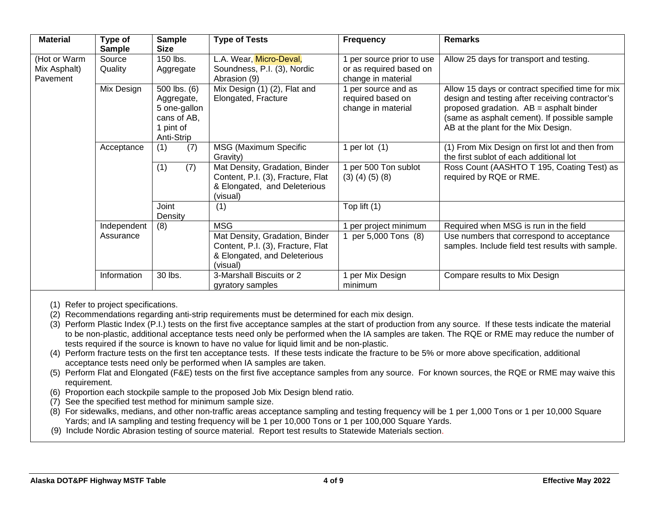| <b>Material</b>                          | Type of<br><b>Sample</b> | <b>Sample</b><br><b>Size</b>                                                         | <b>Type of Tests</b>                                                                                            | <b>Frequency</b>                                                         | <b>Remarks</b>                                                                                                                                                                                                                        |  |
|------------------------------------------|--------------------------|--------------------------------------------------------------------------------------|-----------------------------------------------------------------------------------------------------------------|--------------------------------------------------------------------------|---------------------------------------------------------------------------------------------------------------------------------------------------------------------------------------------------------------------------------------|--|
| (Hot or Warm<br>Mix Asphalt)<br>Pavement | Source<br>Quality        | 150 lbs.<br>Aggregate                                                                | L.A. Wear, Micro-Deval,<br>Soundness, P.I. (3), Nordic<br>Abrasion (9)                                          | per source prior to use<br>or as required based on<br>change in material | Allow 25 days for transport and testing.                                                                                                                                                                                              |  |
|                                          | Mix Design               | 500 lbs. (6)<br>Aggregate,<br>5 one-gallon<br>cans of AB,<br>1 pint of<br>Anti-Strip | Mix Design (1) (2), Flat and<br>Elongated, Fracture                                                             | per source and as<br>required based on<br>change in material             | Allow 15 days or contract specified time for mix<br>design and testing after receiving contractor's<br>proposed gradation. AB = asphalt binder<br>(same as asphalt cement). If possible sample<br>AB at the plant for the Mix Design. |  |
|                                          | Acceptance               | (7)<br>(1)                                                                           | MSG (Maximum Specific<br>Gravity)                                                                               | per lot (1)                                                              | (1) From Mix Design on first lot and then from<br>the first sublot of each additional lot                                                                                                                                             |  |
|                                          |                          | (1)<br>(7)                                                                           | Mat Density, Gradation, Binder<br>Content, P.I. (3), Fracture, Flat<br>& Elongated, and Deleterious<br>(visual) | per 500 Ton sublot<br>$(3)$ $(4)$ $(5)$ $(8)$                            | Ross Count (AASHTO T 195, Coating Test) as<br>required by RQE or RME.                                                                                                                                                                 |  |
|                                          |                          | Joint<br>Density                                                                     | (1)                                                                                                             | Top lift $(1)$                                                           |                                                                                                                                                                                                                                       |  |
|                                          | Independent              | (8)                                                                                  | <b>MSG</b>                                                                                                      | per project minimum                                                      | Required when MSG is run in the field                                                                                                                                                                                                 |  |
|                                          | Assurance                |                                                                                      | Mat Density, Gradation, Binder<br>Content, P.I. (3), Fracture, Flat<br>& Elongated, and Deleterious<br>(visual) | per 5,000 Tons (8)                                                       | Use numbers that correspond to acceptance<br>samples. Include field test results with sample.                                                                                                                                         |  |
|                                          | Information              | 30 lbs.                                                                              | 3-Marshall Biscuits or 2<br>gyratory samples                                                                    | per Mix Design<br>minimum                                                | Compare results to Mix Design                                                                                                                                                                                                         |  |

(2) Recommendations regarding anti-strip requirements must be determined for each mix design.

- (3) Perform Plastic Index (P.I.) tests on the first five acceptance samples at the start of production from any source. If these tests indicate the material to be non-plastic, additional acceptance tests need only be performed when the IA samples are taken. The RQE or RME may reduce the number of tests required if the source is known to have no value for liquid limit and be non-plastic.
- (4) Perform fracture tests on the first ten acceptance tests. If these tests indicate the fracture to be 5% or more above specification, additional acceptance tests need only be performed when IA samples are taken.
- (5) Perform Flat and Elongated (F&E) tests on the first five acceptance samples from any source. For known sources, the RQE or RME may waive this requirement.
- (6) Proportion each stockpile sample to the proposed Job Mix Design blend ratio.
- (7) See the specified test method for minimum sample size.
- (8) For sidewalks, medians, and other non-traffic areas acceptance sampling and testing frequency will be 1 per 1,000 Tons or 1 per 10,000 Square Yards; and IA sampling and testing frequency will be 1 per 10,000 Tons or 1 per 100,000 Square Yards.
- (9) Include Nordic Abrasion testing of source material. Report test results to Statewide Materials section.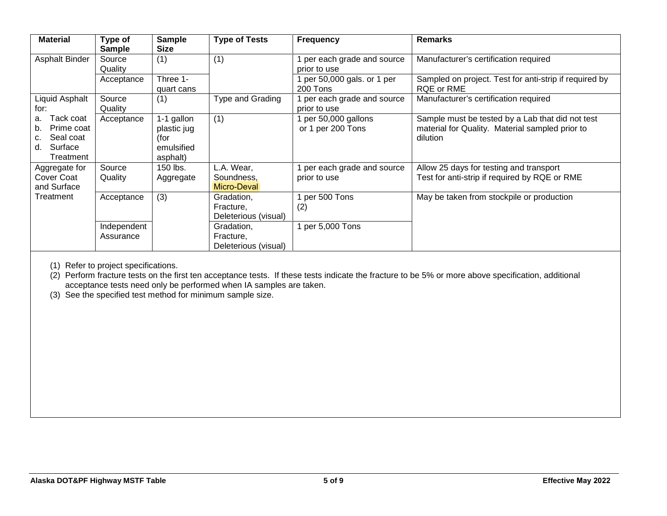| <b>Material</b>                                                                      | Type of<br><b>Sample</b> | <b>Sample</b><br><b>Size</b>                                | <b>Type of Tests</b>                            | <b>Frequency</b>                          | <b>Remarks</b>                                                                                                  |
|--------------------------------------------------------------------------------------|--------------------------|-------------------------------------------------------------|-------------------------------------------------|-------------------------------------------|-----------------------------------------------------------------------------------------------------------------|
| Asphalt Binder                                                                       | Source<br>Quality        | (1)                                                         | (1)                                             | per each grade and source<br>prior to use | Manufacturer's certification required                                                                           |
|                                                                                      | Acceptance               | Three 1-<br>quart cans                                      |                                                 | 1 per 50,000 gals. or 1 per<br>200 Tons   | Sampled on project. Test for anti-strip if required by<br>RQE or RME                                            |
| Liquid Asphalt<br>for:                                                               | Source<br>Quality        | (1)                                                         | <b>Type and Grading</b>                         | per each grade and source<br>prior to use | Manufacturer's certification required                                                                           |
| Tack coat<br>a.<br>Prime coat<br>b.<br>Seal coat<br>c.<br>Surface<br>d.<br>Treatment | Acceptance               | 1-1 gallon<br>plastic jug<br>(for<br>emulsified<br>asphalt) | (1)                                             | 1 per 50,000 gallons<br>or 1 per 200 Tons | Sample must be tested by a Lab that did not test<br>material for Quality. Material sampled prior to<br>dilution |
| Aggregate for<br>Cover Coat<br>and Surface                                           | Source<br>Quality        | 150 lbs.<br>Aggregate                                       | L.A. Wear,<br>Soundness,<br>Micro-Deval         | per each grade and source<br>prior to use | Allow 25 days for testing and transport<br>Test for anti-strip if required by RQE or RME                        |
| Treatment                                                                            | Acceptance               | (3)                                                         | Gradation,<br>Fracture,<br>Deleterious (visual) | per 500 Tons<br>(2)                       | May be taken from stockpile or production                                                                       |
|                                                                                      | Independent<br>Assurance |                                                             | Gradation,<br>Fracture,<br>Deleterious (visual) | 1 per 5,000 Tons                          |                                                                                                                 |

(2) Perform fracture tests on the first ten acceptance tests. If these tests indicate the fracture to be 5% or more above specification, additional acceptance tests need only be performed when IA samples are taken.

(3) See the specified test method for minimum sample size.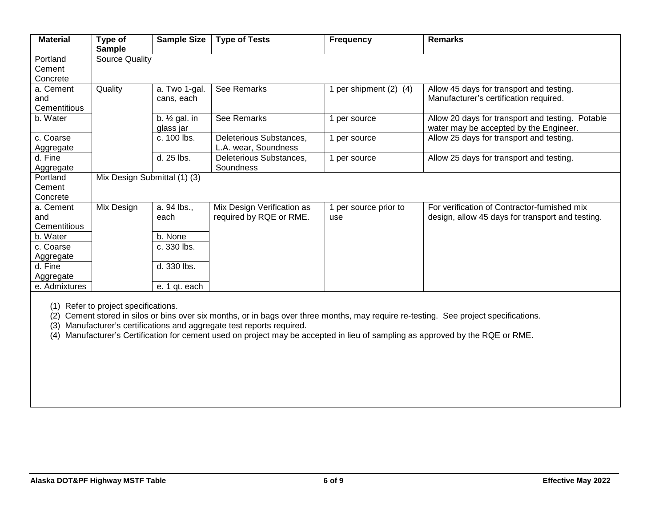| <b>Material</b> | Type of<br><b>Sample</b>     | <b>Sample Size</b>                    | <b>Type of Tests</b>       | <b>Frequency</b>       | <b>Remarks</b>                                                                             |
|-----------------|------------------------------|---------------------------------------|----------------------------|------------------------|--------------------------------------------------------------------------------------------|
| Portland        | <b>Source Quality</b>        |                                       |                            |                        |                                                                                            |
| Cement          |                              |                                       |                            |                        |                                                                                            |
| Concrete        |                              |                                       |                            |                        |                                                                                            |
| a. Cement       | Quality                      | a. Two 1-gal.                         | See Remarks                | 1 per shipment (2) (4) | Allow 45 days for transport and testing.                                                   |
| and             |                              | cans, each                            |                            |                        | Manufacturer's certification required.                                                     |
| Cementitious    |                              |                                       |                            |                        |                                                                                            |
| b. Water        |                              | b. $\frac{1}{2}$ gal. in<br>glass jar | See Remarks                | 1 per source           | Allow 20 days for transport and testing. Potable<br>water may be accepted by the Engineer. |
| c. Coarse       |                              | c. 100 lbs.                           | Deleterious Substances,    | 1 per source           | Allow 25 days for transport and testing.                                                   |
| Aggregate       |                              |                                       | L.A. wear, Soundness       |                        |                                                                                            |
| d. Fine         |                              | d. 25 lbs.                            | Deleterious Substances,    | 1 per source           | Allow 25 days for transport and testing.                                                   |
| Aggregate       |                              |                                       | Soundness                  |                        |                                                                                            |
| Portland        | Mix Design Submittal (1) (3) |                                       |                            |                        |                                                                                            |
| Cement          |                              |                                       |                            |                        |                                                                                            |
| Concrete        |                              |                                       |                            |                        |                                                                                            |
| a. Cement       | Mix Design                   | a. 94 lbs.,                           | Mix Design Verification as | 1 per source prior to  | For verification of Contractor-furnished mix                                               |
| and             |                              | each                                  | required by RQE or RME.    | use                    | design, allow 45 days for transport and testing.                                           |
| Cementitious    |                              |                                       |                            |                        |                                                                                            |
| b. Water        |                              | b. None                               |                            |                        |                                                                                            |
| c. Coarse       |                              | c. 330 lbs.                           |                            |                        |                                                                                            |
| Aggregate       |                              |                                       |                            |                        |                                                                                            |
| d. Fine         |                              | d. 330 lbs.                           |                            |                        |                                                                                            |
| Aggregate       |                              |                                       |                            |                        |                                                                                            |
| e. Admixtures   |                              | e. 1 qt. each                         |                            |                        |                                                                                            |

(2) Cement stored in silos or bins over six months, or in bags over three months, may require re-testing. See project specifications.

(3) Manufacturer's certifications and aggregate test reports required.

(4) Manufacturer's Certification for cement used on project may be accepted in lieu of sampling as approved by the RQE or RME.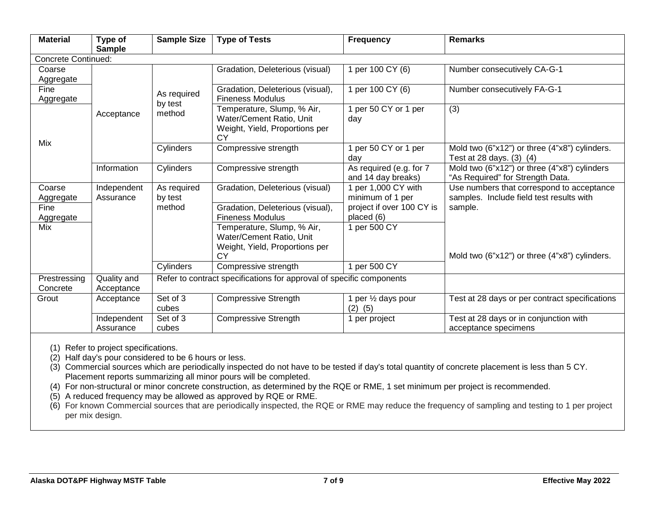| <b>Material</b>            | Type of<br><b>Sample</b>  | <b>Sample Size</b>                                                   | <b>Type of Tests</b>                                                                           | <b>Frequency</b>                              | <b>Remarks</b>                                                                                 |  |  |  |
|----------------------------|---------------------------|----------------------------------------------------------------------|------------------------------------------------------------------------------------------------|-----------------------------------------------|------------------------------------------------------------------------------------------------|--|--|--|
| <b>Concrete Continued:</b> |                           |                                                                      |                                                                                                |                                               |                                                                                                |  |  |  |
| Coarse<br>Aggregate        |                           |                                                                      | Gradation, Deleterious (visual)                                                                | per 100 CY (6)                                | Number consecutively CA-G-1                                                                    |  |  |  |
| Fine<br>Aggregate          |                           | As required                                                          | Gradation, Deleterious (visual),<br><b>Fineness Modulus</b>                                    | per 100 CY (6)                                | Number consecutively FA-G-1                                                                    |  |  |  |
| Mix                        | Acceptance                | by test<br>method                                                    | Temperature, Slump, % Air,<br>Water/Cement Ratio, Unit<br>Weight, Yield, Proportions per<br>СY | 1 per 50 CY or 1 per<br>day                   | (3)                                                                                            |  |  |  |
|                            |                           | Cylinders                                                            | Compressive strength                                                                           | per 50 CY or 1 per<br>dav                     | Mold two (6"x12") or three (4"x8") cylinders.<br>Test at 28 days. (3) (4)                      |  |  |  |
|                            | Information               | Cylinders                                                            | Compressive strength                                                                           | As required (e.g. for 7<br>and 14 day breaks) | Mold two $(\overline{6"x12")$ or three $(4"x8")$ cylinders<br>"As Required" for Strength Data. |  |  |  |
| Coarse<br>Aggregate        | Independent<br>Assurance  | As required<br>by test                                               | Gradation, Deleterious (visual)                                                                | per 1,000 CY with<br>minimum of 1 per         | Use numbers that correspond to acceptance<br>samples. Include field test results with          |  |  |  |
| Fine<br>Aggregate          |                           | method                                                               | Gradation, Deleterious (visual),<br><b>Fineness Modulus</b>                                    | project if over 100 CY is<br>placed (6)       | sample.                                                                                        |  |  |  |
| Mix                        |                           |                                                                      | Temperature, Slump, % Air,<br>Water/Cement Ratio, Unit<br>Weight, Yield, Proportions per<br>СY | per 500 CY                                    | Mold two (6"x12") or three (4"x8") cylinders.                                                  |  |  |  |
|                            |                           | Cylinders                                                            | Compressive strength                                                                           | per 500 CY                                    |                                                                                                |  |  |  |
| Prestressing<br>Concrete   | Quality and<br>Acceptance | Refer to contract specifications for approval of specific components |                                                                                                |                                               |                                                                                                |  |  |  |
| Grout                      | Acceptance                | Set of 3<br>cubes                                                    | <b>Compressive Strength</b>                                                                    | per 1/2 days pour<br>(2)<br>(5)               | Test at 28 days or per contract specifications                                                 |  |  |  |
|                            | Independent<br>Assurance  | Set of 3<br>cubes                                                    | <b>Compressive Strength</b>                                                                    | per project                                   | Test at 28 days or in conjunction with<br>acceptance specimens                                 |  |  |  |

(2) Half day's pour considered to be 6 hours or less.

(3) Commercial sources which are periodically inspected do not have to be tested if day's total quantity of concrete placement is less than 5 CY. Placement reports summarizing all minor pours will be completed.

(4) For non-structural or minor concrete construction, as determined by the RQE or RME, 1 set minimum per project is recommended.

(5) A reduced frequency may be allowed as approved by RQE or RME.

(6) For known Commercial sources that are periodically inspected, the RQE or RME may reduce the frequency of sampling and testing to 1 per project per mix design.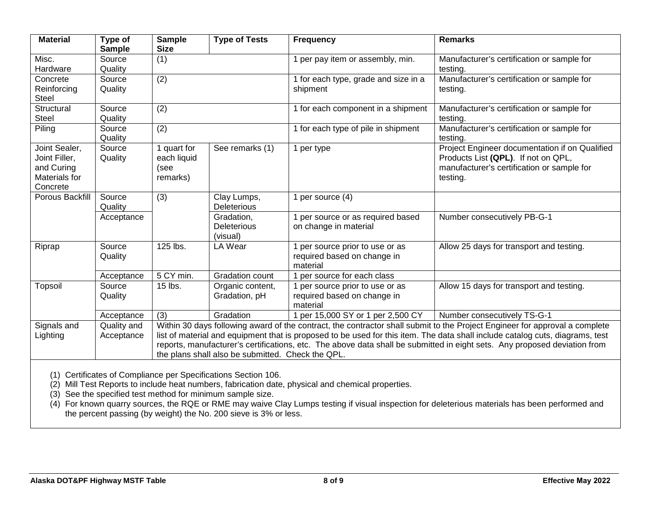| <b>Material</b>                                                           | Type of<br><b>Sample</b>  | <b>Sample</b><br><b>Size</b>                                                                                                                                                                                                                                                                                                                                                                                                                   | <b>Type of Tests</b>                         | <b>Frequency</b>                                                           | <b>Remarks</b>                                                                                                                                  |  |
|---------------------------------------------------------------------------|---------------------------|------------------------------------------------------------------------------------------------------------------------------------------------------------------------------------------------------------------------------------------------------------------------------------------------------------------------------------------------------------------------------------------------------------------------------------------------|----------------------------------------------|----------------------------------------------------------------------------|-------------------------------------------------------------------------------------------------------------------------------------------------|--|
| Misc.<br>Hardware                                                         | Source<br>Quality         | (1)                                                                                                                                                                                                                                                                                                                                                                                                                                            |                                              | 1 per pay item or assembly, min.                                           | Manufacturer's certification or sample for<br>testing.                                                                                          |  |
| Concrete<br>Reinforcing<br><b>Steel</b>                                   | Source<br>Quality         | (2)                                                                                                                                                                                                                                                                                                                                                                                                                                            |                                              | 1 for each type, grade and size in a<br>shipment                           | Manufacturer's certification or sample for<br>testing.                                                                                          |  |
| Structural<br><b>Steel</b>                                                | Source<br>Quality         | (2)                                                                                                                                                                                                                                                                                                                                                                                                                                            |                                              | 1 for each component in a shipment                                         | Manufacturer's certification or sample for<br>testing.                                                                                          |  |
| Piling                                                                    | Source<br>Quality         | (2)                                                                                                                                                                                                                                                                                                                                                                                                                                            |                                              | 1 for each type of pile in shipment                                        | Manufacturer's certification or sample for<br>testing.                                                                                          |  |
| Joint Sealer,<br>Joint Filler,<br>and Curing<br>Materials for<br>Concrete | Source<br>Quality         | 1 quart for<br>each liquid<br>(see<br>remarks)                                                                                                                                                                                                                                                                                                                                                                                                 | See remarks (1)                              | 1 per type                                                                 | Project Engineer documentation if on Qualified<br>Products List (QPL). If not on QPL,<br>manufacturer's certification or sample for<br>testing. |  |
| Porous Backfill                                                           | Source<br>Quality         | (3)                                                                                                                                                                                                                                                                                                                                                                                                                                            | Clay Lumps,<br><b>Deleterious</b>            | 1 per source (4)                                                           |                                                                                                                                                 |  |
|                                                                           | Acceptance                |                                                                                                                                                                                                                                                                                                                                                                                                                                                | Gradation,<br><b>Deleterious</b><br>(visual) | 1 per source or as required based<br>on change in material                 | Number consecutively PB-G-1                                                                                                                     |  |
| Riprap                                                                    | Source<br>Quality         | 125 lbs.                                                                                                                                                                                                                                                                                                                                                                                                                                       | LA Wear                                      | 1 per source prior to use or as<br>required based on change in<br>material | Allow 25 days for transport and testing.                                                                                                        |  |
|                                                                           | Acceptance                | 5 CY min.                                                                                                                                                                                                                                                                                                                                                                                                                                      | Gradation count                              | 1 per source for each class                                                |                                                                                                                                                 |  |
| Topsoil                                                                   | Source<br>Quality         | 15 lbs.                                                                                                                                                                                                                                                                                                                                                                                                                                        | Organic content,<br>Gradation, pH            | 1 per source prior to use or as<br>required based on change in<br>material | Allow 15 days for transport and testing.                                                                                                        |  |
|                                                                           | Acceptance                | (3)                                                                                                                                                                                                                                                                                                                                                                                                                                            | Gradation                                    | 1 per 15,000 SY or 1 per 2,500 CY                                          | Number consecutively TS-G-1                                                                                                                     |  |
| Signals and<br>Lighting                                                   | Quality and<br>Acceptance | Within 30 days following award of the contract, the contractor shall submit to the Project Engineer for approval a complete<br>list of material and equipment that is proposed to be used for this item. The data shall include catalog cuts, diagrams, test<br>reports, manufacturer's certifications, etc. The above data shall be submitted in eight sets. Any proposed deviation from<br>the plans shall also be submitted. Check the QPL. |                                              |                                                                            |                                                                                                                                                 |  |
| $(4)$ Cartificates of Campliance par Coopifications Cootian $400$         |                           |                                                                                                                                                                                                                                                                                                                                                                                                                                                |                                              |                                                                            |                                                                                                                                                 |  |

(1) Certificates of Compliance per Specifications Section 106.

(2) Mill Test Reports to include heat numbers, fabrication date, physical and chemical properties.

(3) See the specified test method for minimum sample size.

(4) For known quarry sources, the RQE or RME may waive Clay Lumps testing if visual inspection for deleterious materials has been performed and the percent passing (by weight) the No. 200 sieve is 3% or less.